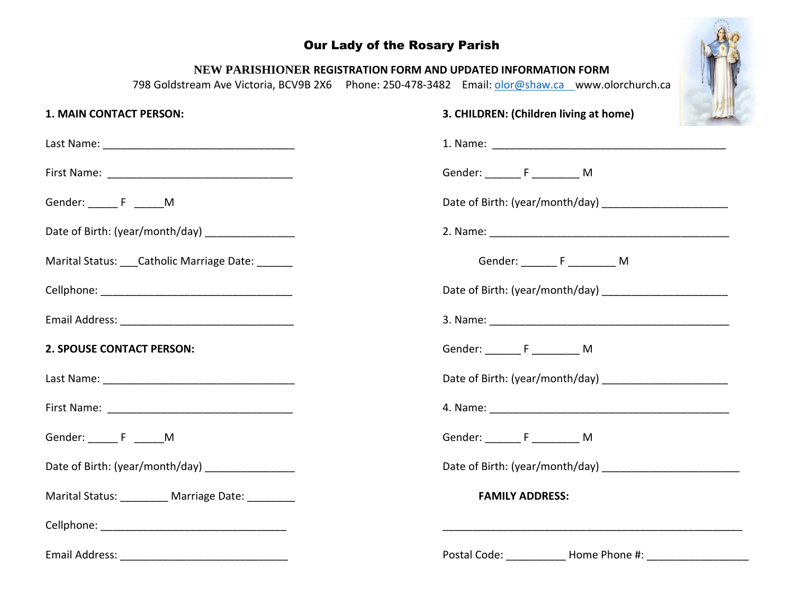## Our Lady of the Rosary Parish



## **NEW PARISHIONER REGISTRATION FORM AND UPDATED INFORMATION FORM**

798 Goldstream Ave Victoria, BCV9B 2X6 Phone: 250-478-3482 Email: [olor@shaw.ca](mailto:olor@shaw.ca) www.olorchurch.ca

| <b>1. MAIN CONTACT PERSON:</b>                    | 3. CHILDREN: (Children living at home)        |
|---------------------------------------------------|-----------------------------------------------|
|                                                   |                                               |
|                                                   | Gender: ___________________________________ M |
| Gender: ________ F _______M                       |                                               |
| Date of Birth: (year/month/day) _________________ |                                               |
| Marital Status: Catholic Marriage Date:           | Gender: ___________________________ M         |
|                                                   |                                               |
|                                                   |                                               |
| <b>2. SPOUSE CONTACT PERSON:</b>                  | Gender: _________ F ___________ M             |
|                                                   |                                               |
|                                                   |                                               |
| Gender: ________ F _______M                       | Gender: F M                                   |
| Date of Birth: (year/month/day) ________________  | Date of Birth: (year/month/day)               |
| Marital Status: Marriage Date:                    | <b>FAMILY ADDRESS:</b>                        |
|                                                   |                                               |
|                                                   |                                               |